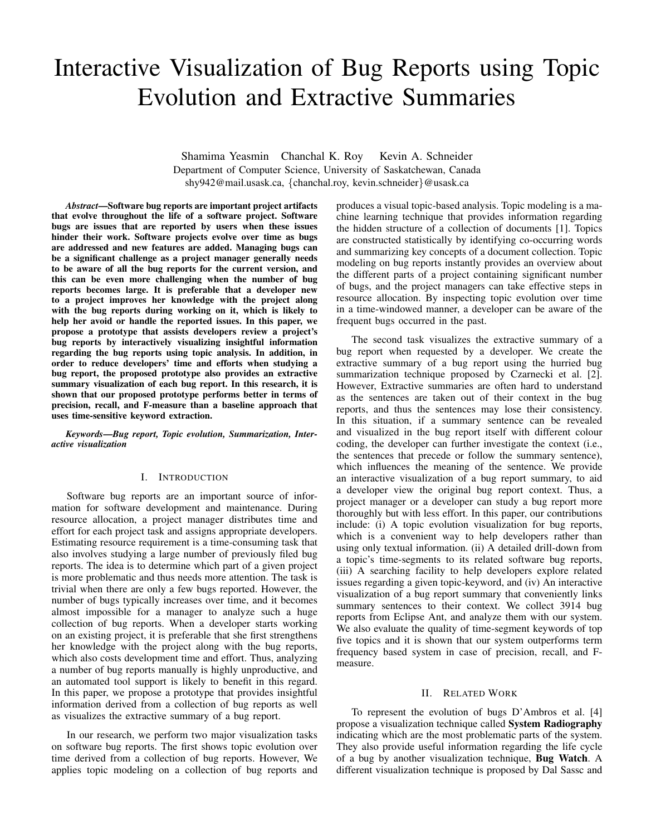# Interactive Visualization of Bug Reports using Topic Evolution and Extractive Summaries

Shamima Yeasmin Chanchal K. Roy Kevin A. Schneider Department of Computer Science, University of Saskatchewan, Canada shy942@mail.usask.ca, {chanchal.roy, kevin.schneider}@usask.ca

*Abstract*—Software bug reports are important project artifacts that evolve throughout the life of a software project. Software bugs are issues that are reported by users when these issues hinder their work. Software projects evolve over time as bugs are addressed and new features are added. Managing bugs can be a significant challenge as a project manager generally needs to be aware of all the bug reports for the current version, and this can be even more challenging when the number of bug reports becomes large. It is preferable that a developer new to a project improves her knowledge with the project along with the bug reports during working on it, which is likely to help her avoid or handle the reported issues. In this paper, we propose a prototype that assists developers review a project's bug reports by interactively visualizing insightful information regarding the bug reports using topic analysis. In addition, in order to reduce developers' time and efforts when studying a bug report, the proposed prototype also provides an extractive summary visualization of each bug report. In this research, it is shown that our proposed prototype performs better in terms of precision, recall, and F-measure than a baseline approach that uses time-sensitive keyword extraction.

*Keywords*—*Bug report, Topic evolution, Summarization, Interactive visualization*

## I. INTRODUCTION

Software bug reports are an important source of information for software development and maintenance. During resource allocation, a project manager distributes time and effort for each project task and assigns appropriate developers. Estimating resource requirement is a time-consuming task that also involves studying a large number of previously filed bug reports. The idea is to determine which part of a given project is more problematic and thus needs more attention. The task is trivial when there are only a few bugs reported. However, the number of bugs typically increases over time, and it becomes almost impossible for a manager to analyze such a huge collection of bug reports. When a developer starts working on an existing project, it is preferable that she first strengthens her knowledge with the project along with the bug reports, which also costs development time and effort. Thus, analyzing a number of bug reports manually is highly unproductive, and an automated tool support is likely to benefit in this regard. In this paper, we propose a prototype that provides insightful information derived from a collection of bug reports as well as visualizes the extractive summary of a bug report.

In our research, we perform two major visualization tasks on software bug reports. The first shows topic evolution over time derived from a collection of bug reports. However, We applies topic modeling on a collection of bug reports and produces a visual topic-based analysis. Topic modeling is a machine learning technique that provides information regarding the hidden structure of a collection of documents [1]. Topics are constructed statistically by identifying co-occurring words and summarizing key concepts of a document collection. Topic modeling on bug reports instantly provides an overview about the different parts of a project containing significant number of bugs, and the project managers can take effective steps in resource allocation. By inspecting topic evolution over time in a time-windowed manner, a developer can be aware of the frequent bugs occurred in the past.

The second task visualizes the extractive summary of a bug report when requested by a developer. We create the extractive summary of a bug report using the hurried bug summarization technique proposed by Czarnecki et al. [2]. However, Extractive summaries are often hard to understand as the sentences are taken out of their context in the bug reports, and thus the sentences may lose their consistency. In this situation, if a summary sentence can be revealed and visualized in the bug report itself with different colour coding, the developer can further investigate the context (i.e., the sentences that precede or follow the summary sentence), which influences the meaning of the sentence. We provide an interactive visualization of a bug report summary, to aid a developer view the original bug report context. Thus, a project manager or a developer can study a bug report more thoroughly but with less effort. In this paper, our contributions include: (i) A topic evolution visualization for bug reports, which is a convenient way to help developers rather than using only textual information. (ii) A detailed drill-down from a topic's time-segments to its related software bug reports, (iii) A searching facility to help developers explore related issues regarding a given topic-keyword, and (iv) An interactive visualization of a bug report summary that conveniently links summary sentences to their context. We collect 3914 bug reports from Eclipse Ant, and analyze them with our system. We also evaluate the quality of time-segment keywords of top five topics and it is shown that our system outperforms term frequency based system in case of precision, recall, and Fmeasure.

#### II. RELATED WORK

To represent the evolution of bugs D'Ambros et al. [4] propose a visualization technique called System Radiography indicating which are the most problematic parts of the system. They also provide useful information regarding the life cycle of a bug by another visualization technique, Bug Watch. A different visualization technique is proposed by Dal Sassc and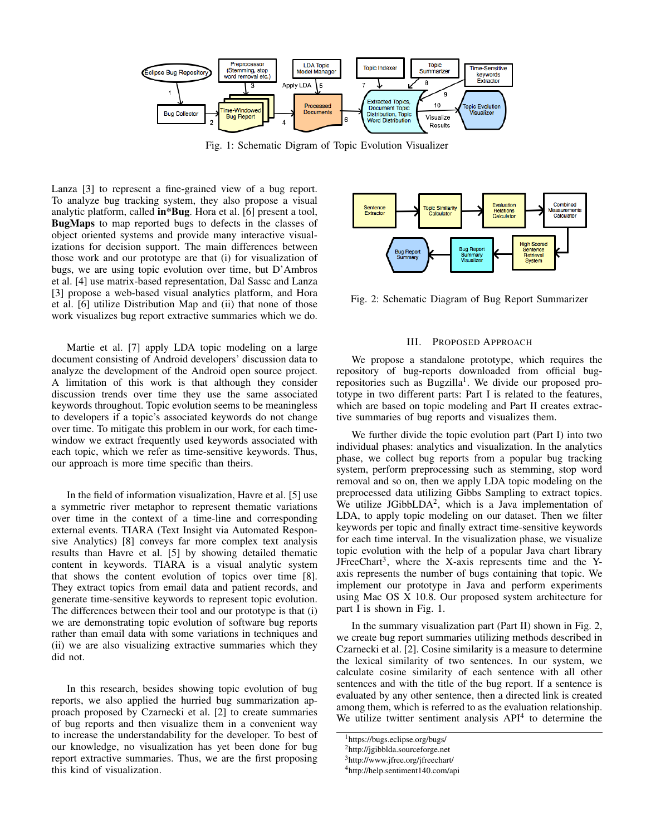

Fig. 1: Schematic Digram of Topic Evolution Visualizer

Lanza [3] to represent a fine-grained view of a bug report. To analyze bug tracking system, they also propose a visual analytic platform, called in\*Bug. Hora et al. [6] present a tool, BugMaps to map reported bugs to defects in the classes of object oriented systems and provide many interactive visualizations for decision support. The main differences between those work and our prototype are that (i) for visualization of bugs, we are using topic evolution over time, but D'Ambros et al. [4] use matrix-based representation, Dal Sassc and Lanza [3] propose a web-based visual analytics platform, and Hora et al. [6] utilize Distribution Map and (ii) that none of those work visualizes bug report extractive summaries which we do.

Martie et al. [7] apply LDA topic modeling on a large document consisting of Android developers' discussion data to analyze the development of the Android open source project. A limitation of this work is that although they consider discussion trends over time they use the same associated keywords throughout. Topic evolution seems to be meaningless to developers if a topic's associated keywords do not change over time. To mitigate this problem in our work, for each timewindow we extract frequently used keywords associated with each topic, which we refer as time-sensitive keywords. Thus, our approach is more time specific than theirs.

In the field of information visualization, Havre et al. [5] use a symmetric river metaphor to represent thematic variations over time in the context of a time-line and corresponding external events. TIARA (Text Insight via Automated Responsive Analytics) [8] conveys far more complex text analysis results than Havre et al. [5] by showing detailed thematic content in keywords. TIARA is a visual analytic system that shows the content evolution of topics over time [8]. They extract topics from email data and patient records, and generate time-sensitive keywords to represent topic evolution. The differences between their tool and our prototype is that (i) we are demonstrating topic evolution of software bug reports rather than email data with some variations in techniques and (ii) we are also visualizing extractive summaries which they did not.

In this research, besides showing topic evolution of bug reports, we also applied the hurried bug summarization approach proposed by Czarnecki et al. [2] to create summaries of bug reports and then visualize them in a convenient way to increase the understandability for the developer. To best of our knowledge, no visualization has yet been done for bug report extractive summaries. Thus, we are the first proposing this kind of visualization.



Fig. 2: Schematic Diagram of Bug Report Summarizer

## III. PROPOSED APPROACH

We propose a standalone prototype, which requires the repository of bug-reports downloaded from official bugrepositories such as Bugzilla<sup>1</sup>. We divide our proposed prototype in two different parts: Part I is related to the features, which are based on topic modeling and Part II creates extractive summaries of bug reports and visualizes them.

We further divide the topic evolution part (Part I) into two individual phases: analytics and visualization. In the analytics phase, we collect bug reports from a popular bug tracking system, perform preprocessing such as stemming, stop word removal and so on, then we apply LDA topic modeling on the preprocessed data utilizing Gibbs Sampling to extract topics. We utilize JGibbLDA<sup>2</sup>, which is a Java implementation of LDA, to apply topic modeling on our dataset. Then we filter keywords per topic and finally extract time-sensitive keywords for each time interval. In the visualization phase, we visualize topic evolution with the help of a popular Java chart library JFreeChart<sup>3</sup>, where the X-axis represents time and the Yaxis represents the number of bugs containing that topic. We implement our prototype in Java and perform experiments using Mac OS X 10.8. Our proposed system architecture for part I is shown in Fig. 1.

In the summary visualization part (Part II) shown in Fig. 2, we create bug report summaries utilizing methods described in Czarnecki et al. [2]. Cosine similarity is a measure to determine the lexical similarity of two sentences. In our system, we calculate cosine similarity of each sentence with all other sentences and with the title of the bug report. If a sentence is evaluated by any other sentence, then a directed link is created among them, which is referred to as the evaluation relationship. We utilize twitter sentiment analysis  $API<sup>4</sup>$  to determine the

<sup>1</sup>https://bugs.eclipse.org/bugs/

<sup>2</sup>http://jgibblda.sourceforge.net

<sup>3</sup>http://www.jfree.org/jfreechart/

<sup>4</sup>http://help.sentiment140.com/api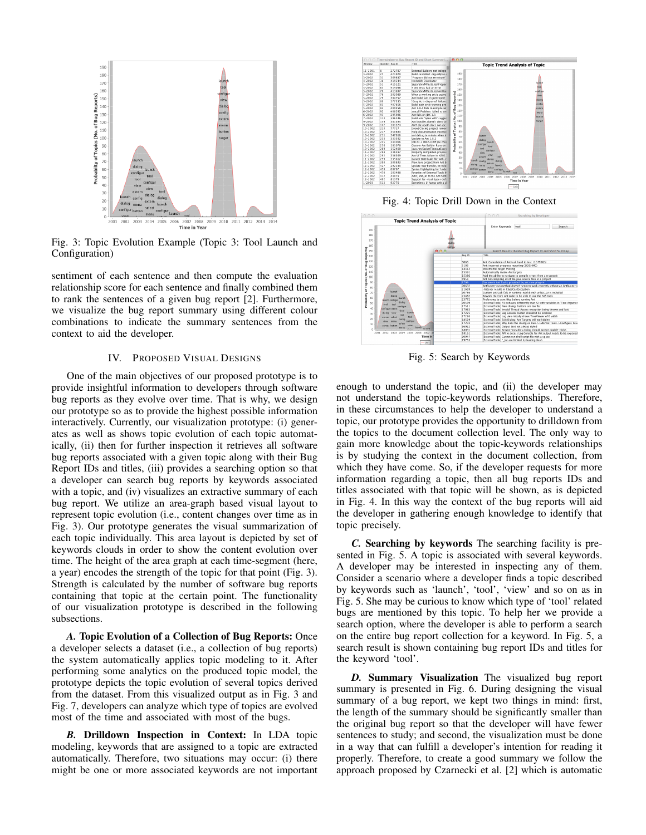

Fig. 3: Topic Evolution Example (Topic 3: Tool Launch and Configuration)

sentiment of each sentence and then compute the evaluation relationship score for each sentence and finally combined them to rank the sentences of a given bug report [2]. Furthermore, we visualize the bug report summary using different colour combinations to indicate the summary sentences from the context to aid the developer.

## IV. PROPOSED VISUAL DESIGNS

One of the main objectives of our proposed prototype is to provide insightful information to developers through software bug reports as they evolve over time. That is why, we design our prototype so as to provide the highest possible information interactively. Currently, our visualization prototype: (i) generates as well as shows topic evolution of each topic automatically, (ii) then for further inspection it retrieves all software bug reports associated with a given topic along with their Bug Report IDs and titles, (iii) provides a searching option so that a developer can search bug reports by keywords associated with a topic, and (iv) visualizes an extractive summary of each bug report. We utilize an area-graph based visual layout to represent topic evolution (i.e., content changes over time as in Fig. 3). Our prototype generates the visual summarization of each topic individually. This area layout is depicted by set of keywords clouds in order to show the content evolution over time. The height of the area graph at each time-segment (here, a year) encodes the strength of the topic for that point (Fig. 3). Strength is calculated by the number of software bug reports containing that topic at the certain point. The functionality of our visualization prototype is described in the following subsections.

*A.* Topic Evolution of a Collection of Bug Reports: Once a developer selects a dataset (i.e., a collection of bug reports) the system automatically applies topic modeling to it. After performing some analytics on the produced topic model, the prototype depicts the topic evolution of several topics derived from the dataset. From this visualized output as in Fig. 3 and Fig. 7, developers can analyze which type of topics are evolved most of the time and associated with most of the bugs.

*B.* Drilldown Inspection in Context: In LDA topic modeling, keywords that are assigned to a topic are extracted automatically. Therefore, two situations may occur: (i) there might be one or more associated keywords are not important



Fig. 4: Topic Drill Down in the Context



Fig. 5: Search by Keywords

enough to understand the topic, and (ii) the developer may not understand the topic-keywords relationships. Therefore, in these circumstances to help the developer to understand a topic, our prototype provides the opportunity to drilldown from the topics to the document collection level. The only way to gain more knowledge about the topic-keywords relationships is by studying the context in the document collection, from which they have come. So, if the developer requests for more information regarding a topic, then all bug reports IDs and titles associated with that topic will be shown, as is depicted in Fig. 4. In this way the context of the bug reports will aid the developer in gathering enough knowledge to identify that topic precisely.

*C.* Searching by keywords The searching facility is presented in Fig. 5. A topic is associated with several keywords. A developer may be interested in inspecting any of them. Consider a scenario where a developer finds a topic described by keywords such as 'launch', 'tool', 'view' and so on as in Fig. 5. She may be curious to know which type of 'tool' related bugs are mentioned by this topic. To help her we provide a search option, where the developer is able to perform a search on the entire bug report collection for a keyword. In Fig. 5, a search result is shown containing bug report IDs and titles for the keyword 'tool'.

*D.* Summary Visualization The visualized bug report summary is presented in Fig. 6. During designing the visual summary of a bug report, we kept two things in mind: first, the length of the summary should be significantly smaller than the original bug report so that the developer will have fewer sentences to study; and second, the visualization must be done in a way that can fulfill a developer's intention for reading it properly. Therefore, to create a good summary we follow the approach proposed by Czarnecki et al. [2] which is automatic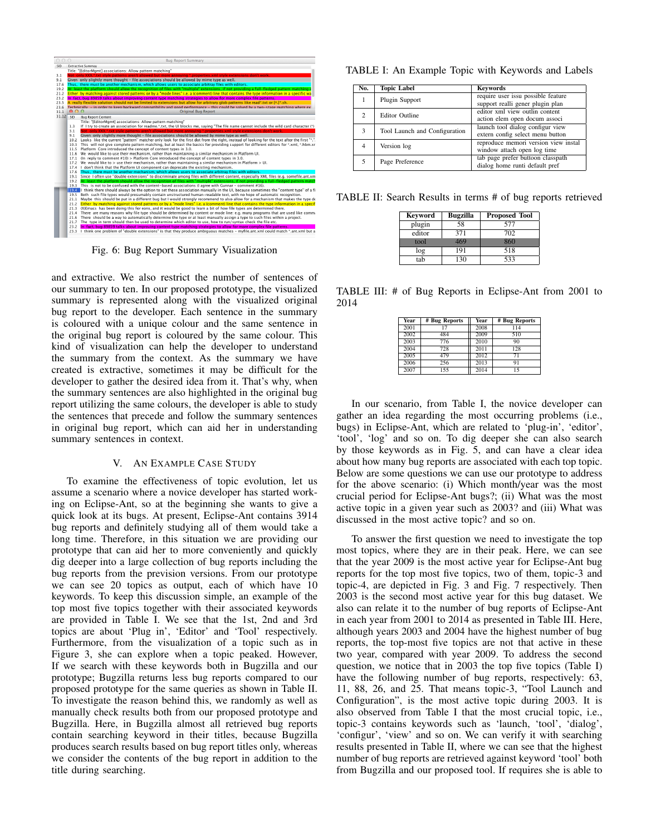

Fig. 6: Bug Report Summary Visualization

and extractive. We also restrict the number of sentences of our summary to ten. In our proposed prototype, the visualized summary is represented along with the visualized original bug report to the developer. Each sentence in the summary is coloured with a unique colour and the same sentence in the original bug report is coloured by the same colour. This kind of visualization can help the developer to understand the summary from the context. As the summary we have created is extractive, sometimes it may be difficult for the developer to gather the desired idea from it. That's why, when the summary sentences are also highlighted in the original bug report utilizing the same colours, the developer is able to study the sentences that precede and follow the summary sentences in original bug report, which can aid her in understanding summary sentences in context.

## V. AN EXAMPLE CASE STUDY

To examine the effectiveness of topic evolution, let us assume a scenario where a novice developer has started working on Eclipse-Ant, so at the beginning she wants to give a quick look at its bugs. At present, Eclipse-Ant contains 3914 bug reports and definitely studying all of them would take a long time. Therefore, in this situation we are providing our prototype that can aid her to more conveniently and quickly dig deeper into a large collection of bug reports including the bug reports from the prevision versions. From our prototype we can see 20 topics as output, each of which have 10 keywords. To keep this discussion simple, an example of the top most five topics together with their associated keywords are provided in Table I. We see that the 1st, 2nd and 3rd topics are about 'Plug in', 'Editor' and 'Tool' respectively. Furthermore, from the visualization of a topic such as in Figure 3, she can explore when a topic peaked. However, If we search with these keywords both in Bugzilla and our prototype; Bugzilla returns less bug reports compared to our proposed prototype for the same queries as shown in Table II. To investigate the reason behind this, we randomly as well as manually check results both from our proposed prototype and Bugzilla. Here, in Bugzilla almost all retrieved bug reports contain searching keyword in their titles, because Bugzilla produces search results based on bug report titles only, whereas we consider the contents of the bug report in addition to the title during searching.

TABLE I: An Example Topic with Keywords and Labels

| No.            | <b>Topic Label</b>            | <b>Keywords</b>                                                        |  |
|----------------|-------------------------------|------------------------------------------------------------------------|--|
| 1              | Plugin Support                | require user issu possible feature<br>support realli gener plugin plan |  |
| $\overline{c}$ | <b>Editor Outline</b>         | editor xml view outlin content<br>action elem open docum associ        |  |
| 3              | Tool Launch and Configuration | launch tool dialog configur view<br>extern config select menu button   |  |
| 4              | Version log                   | reproduce memori version view instal<br>window attach open log time    |  |
| 5              | Page Preference               | tab page prefer buttoon classpath<br>dialog home runti default pref    |  |

TABLE II: Search Results in terms # of bug reports retrieved

| Keyword | <b>Bugzilla</b> | <b>Proposed Tool</b> |  |  |
|---------|-----------------|----------------------|--|--|
| plugin  | 58              | 577                  |  |  |
| editor  | 371             | 702                  |  |  |
| tool    | 16¢             | 860                  |  |  |
| log     | 191             | 518                  |  |  |
| tab     | 130             | 533                  |  |  |

TABLE III: # of Bug Reports in Eclipse-Ant from 2001 to 2014

| Year | # Bug Reports | Year | # Bug Reports |
|------|---------------|------|---------------|
| 2001 | 17            | 2008 | 114           |
| 2002 | 484           | 2009 | 510           |
| 2003 | 776           | 2010 | 90            |
| 2004 | 728           | 2011 | 128           |
| 2005 | 479           | 2012 | 71            |
| 2006 | 256           | 2013 | 91            |
| 2007 | 155           | 2014 | 15            |

In our scenario, from Table I, the novice developer can gather an idea regarding the most occurring problems (i.e., bugs) in Eclipse-Ant, which are related to 'plug-in', 'editor', 'tool', 'log' and so on. To dig deeper she can also search by those keywords as in Fig. 5, and can have a clear idea about how many bug reports are associated with each top topic. Below are some questions we can use our prototype to address for the above scenario: (i) Which month/year was the most crucial period for Eclipse-Ant bugs?; (ii) What was the most active topic in a given year such as 2003? and (iii) What was discussed in the most active topic? and so on.

To answer the first question we need to investigate the top most topics, where they are in their peak. Here, we can see that the year 2009 is the most active year for Eclipse-Ant bug reports for the top most five topics, two of them, topic-3 and topic-4, are depicted in Fig. 3 and Fig. 7 respectively. Then 2003 is the second most active year for this bug dataset. We also can relate it to the number of bug reports of Eclipse-Ant in each year from 2001 to 2014 as presented in Table III. Here, although years 2003 and 2004 have the highest number of bug reports, the top-most five topics are not that active in these two year, compared with year 2009. To address the second question, we notice that in 2003 the top five topics (Table I) have the following number of bug reports, respectively: 63, 11, 88, 26, and 25. That means topic-3, "Tool Launch and Configuration", is the most active topic during 2003. It is also observed from Table I that the most crucial topic, i.e., topic-3 contains keywords such as 'launch, 'tool', 'dialog', 'configur', 'view' and so on. We can verify it with searching results presented in Table II, where we can see that the highest number of bug reports are retrieved against keyword 'tool' both from Bugzilla and our proposed tool. If requires she is able to